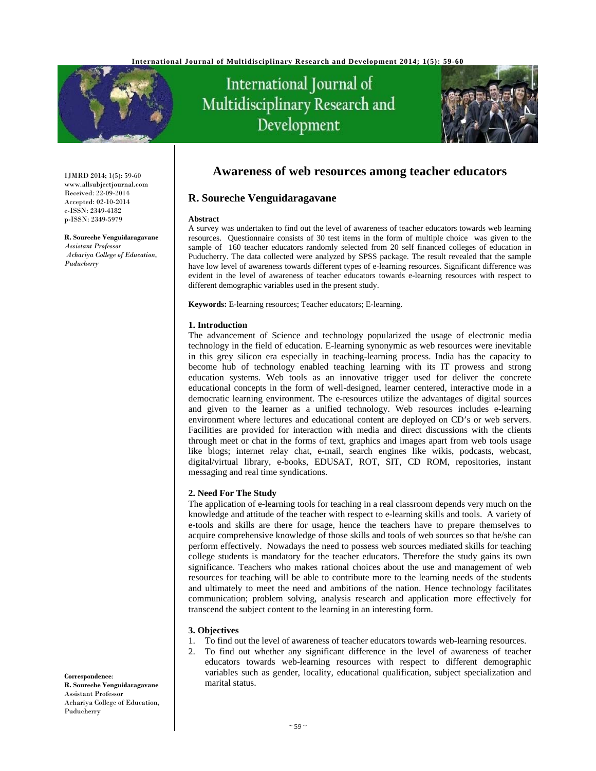

# International Journal of Multidisciplinary Research and Development



IJMRD 2014; 1(5): 59-60 www.allsubjectjournal.com Received: 22-09-2014 Accepted: 02-10-2014 e-ISSN: 2349-4182 p-ISSN: 2349-5979

**R. Soureche Venguidaragavane** *Assistant Professor Achariya College of Education, Puducherry* 

# **Awareness of web resources among teacher educators**

# **R. Soureche Venguidaragavane**

#### **Abstract**

A survey was undertaken to find out the level of awareness of teacher educators towards web learning resources. Questionnaire consists of 30 test items in the form of multiple choice was given to the sample of 160 teacher educators randomly selected from 20 self financed colleges of education in Puducherry. The data collected were analyzed by SPSS package. The result revealed that the sample have low level of awareness towards different types of e-learning resources. Significant difference was evident in the level of awareness of teacher educators towards e-learning resources with respect to different demographic variables used in the present study.

**Keywords:** E-learning resources; Teacher educators; E-learning.

#### **1. Introduction**

The advancement of Science and technology popularized the usage of electronic media technology in the field of education. E-learning synonymic as web resources were inevitable in this grey silicon era especially in teaching-learning process. India has the capacity to become hub of technology enabled teaching learning with its IT prowess and strong education systems. Web tools as an innovative trigger used for deliver the concrete educational concepts in the form of well-designed, learner centered, interactive mode in a democratic learning environment. The e-resources utilize the advantages of digital sources and given to the learner as a unified technology. Web resources includes e-learning environment where lectures and educational content are deployed on CD's or web servers. Facilities are provided for interaction with media and direct discussions with the clients through meet or chat in the forms of text, graphics and images apart from web tools usage like blogs; internet relay chat, e-mail, search engines like wikis, podcasts, webcast, digital/virtual library, e-books, EDUSAT, ROT, SIT, CD ROM, repositories, instant messaging and real time syndications.

# **2. Need For The Study**

The application of e-learning tools for teaching in a real classroom depends very much on the knowledge and attitude of the teacher with respect to e-learning skills and tools. A variety of e-tools and skills are there for usage, hence the teachers have to prepare themselves to acquire comprehensive knowledge of those skills and tools of web sources so that he/she can perform effectively. Nowadays the need to possess web sources mediated skills for teaching college students is mandatory for the teacher educators. Therefore the study gains its own significance. Teachers who makes rational choices about the use and management of web resources for teaching will be able to contribute more to the learning needs of the students and ultimately to meet the need and ambitions of the nation. Hence technology facilitates communication; problem solving, analysis research and application more effectively for transcend the subject content to the learning in an interesting form.

# **3. Objectives**

- 1. To find out the level of awareness of teacher educators towards web-learning resources.
- 2. To find out whether any significant difference in the level of awareness of teacher educators towards web-learning resources with respect to different demographic variables such as gender, locality, educational qualification, subject specialization and marital status.

**Correspondence**: **R. Soureche Venguidaragavane** Assistant Professor Achariya College of Education, Puducherry